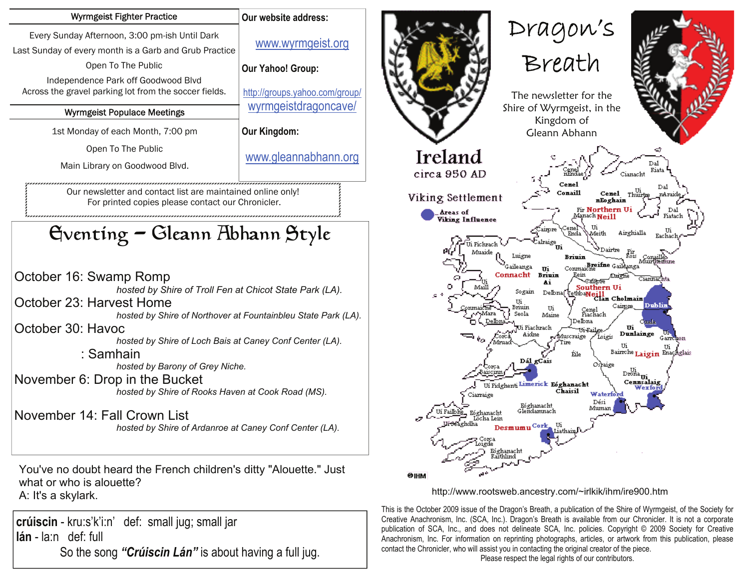| Every Sunday Afternoon, 3:00 pm-ish Until Dark<br>www.wyrmgeist.org<br>Last Sunday of every month is a Garb and Grub Practice<br>Open To The Public<br><b>Our Yahoo! Group:</b><br>Independence Park off Goodwood Blvd<br>Across the gravel parking lot from the soccer fields.<br>http://groups.yahoo.com/group/<br>wyrmgeistdragoncave/<br><b>Wyrmgeist Populace Meetings</b><br>Our Kingdom:<br>1st Monday of each Month, 7:00 pm<br>Open To The Public<br>www.gleannabhann.org<br>Main Library on Goodwood Blvd.<br>Our newsletter and contact list are maintained online only!<br>For printed copies please contact our Chronicler.<br>Gventing – Gleann Abhann Style<br>October 16: Swamp Romp<br>hosted by Shire of Troll Fen at Chicot State Park (LA).<br>October 23: Harvest Home<br>hosted by Shire of Northover at Fountainbleu State Park (LA).<br>October 30: Havoc<br>hosted by Shire of Loch Bais at Caney Conf Center (LA).<br>: Samhain<br>hosted by Barony of Grey Niche.<br>November 6: Drop in the Bucket<br>hosted by Shire of Rooks Haven at Cook Road (MS).<br>November 14: Fall Crown List<br>hosted by Shire of Ardanroe at Caney Conf Center (LA).<br>You've no doubt heard the French children's ditty "Alouette." Just<br>what or who is alouette?<br>A: It's a skylark. | <b>Wyrmgeist Fighter Practice</b> | Our website address: |
|-------------------------------------------------------------------------------------------------------------------------------------------------------------------------------------------------------------------------------------------------------------------------------------------------------------------------------------------------------------------------------------------------------------------------------------------------------------------------------------------------------------------------------------------------------------------------------------------------------------------------------------------------------------------------------------------------------------------------------------------------------------------------------------------------------------------------------------------------------------------------------------------------------------------------------------------------------------------------------------------------------------------------------------------------------------------------------------------------------------------------------------------------------------------------------------------------------------------------------------------------------------------------------------------------------|-----------------------------------|----------------------|
|                                                                                                                                                                                                                                                                                                                                                                                                                                                                                                                                                                                                                                                                                                                                                                                                                                                                                                                                                                                                                                                                                                                                                                                                                                                                                                       |                                   |                      |
|                                                                                                                                                                                                                                                                                                                                                                                                                                                                                                                                                                                                                                                                                                                                                                                                                                                                                                                                                                                                                                                                                                                                                                                                                                                                                                       |                                   |                      |
|                                                                                                                                                                                                                                                                                                                                                                                                                                                                                                                                                                                                                                                                                                                                                                                                                                                                                                                                                                                                                                                                                                                                                                                                                                                                                                       |                                   |                      |
|                                                                                                                                                                                                                                                                                                                                                                                                                                                                                                                                                                                                                                                                                                                                                                                                                                                                                                                                                                                                                                                                                                                                                                                                                                                                                                       |                                   |                      |
|                                                                                                                                                                                                                                                                                                                                                                                                                                                                                                                                                                                                                                                                                                                                                                                                                                                                                                                                                                                                                                                                                                                                                                                                                                                                                                       |                                   |                      |

**crúiscin** - kru:s'k'i:n' def: small jug; small jar **lán** - la:n def: full So the song *"Crúiscin Lán"* is about having a full jug.



http://www.rootsweb.ancestry.com/~irlkik/ihm/ire900.htm

is is the October 2009 issue of the Dragon's Breath, a publication of the Shire of Wyrmgeist, of the Society for Creative Anachronism, Inc. (SCA, Inc.). Dragon's Breath is available from our Chronicler. It is not a corporate publication of SCA, Inc., and does not delineate SCA, Inc. policies. Copyright © 2009 Society for Creative Anachronism, Inc. For information on reprinting photographs, articles, or artwork from this publication, please contact the Chronicler, who will assist you in contacting the original creator of the piece.

Please respect the legal rights of our contributors.